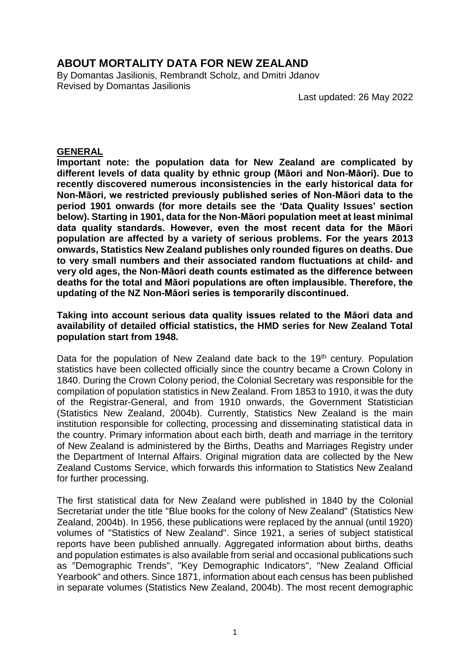# **ABOUT MORTALITY DATA FOR NEW ZEALAND**

By Domantas Jasilionis, Rembrandt Scholz, and Dmitri Jdanov Revised by Domantas Jasilionis

Last updated: 26 May 2022

### **GENERAL**

**Important note: the population data for New Zealand are complicated by different levels of data quality by ethnic group (Māori and Non-Māori). Due to recently discovered numerous inconsistencies in the early historical data for Non-Māori, we restricted previously published series of Non-Māori data to the period 1901 onwards (for more details see the 'Data Quality Issues' section below). Starting in 1901, data for the Non-Māori population meet at least minimal data quality standards. However, even the most recent data for the Māori population are affected by a variety of serious problems. For the years 2013 onwards, Statistics New Zealand publishes only rounded figures on deaths. Due to very small numbers and their associated random fluctuations at child- and very old ages, the Non-Māori death counts estimated as the difference between deaths for the total and Māori populations are often implausible. Therefore, the updating of the NZ Non-Māori series is temporarily discontinued.**

### **Taking into account serious data quality issues related to the Māori data and availability of detailed official statistics, the HMD series for New Zealand Total population start from 1948.**

Data for the population of New Zealand date back to the 19<sup>th</sup> century. Population statistics have been collected officially since the country became a Crown Colony in 1840. During the Crown Colony period, the Colonial Secretary was responsible for the compilation of population statistics in New Zealand. From 1853 to 1910, it was the duty of the Registrar-General, and from 1910 onwards, the Government Statistician (Statistics New Zealand, 2004b). Currently, Statistics New Zealand is the main institution responsible for collecting, processing and disseminating statistical data in the country. Primary information about each birth, death and marriage in the territory of New Zealand is administered by the Births, Deaths and Marriages Registry under the Department of Internal Affairs. Original migration data are collected by the New Zealand Customs Service, which forwards this information to Statistics New Zealand for further processing.

The first statistical data for New Zealand were published in 1840 by the Colonial Secretariat under the title "Blue books for the colony of New Zealand" (Statistics New Zealand, 2004b). In 1956, these publications were replaced by the annual (until 1920) volumes of "Statistics of New Zealand". Since 1921, a series of subject statistical reports have been published annually. Aggregated information about births, deaths and population estimates is also available from serial and occasional publications such as "Demographic Trends", "Key Demographic Indicators", "New Zealand Official Yearbook" and others. Since 1871, information about each census has been published in separate volumes (Statistics New Zealand, 2004b). The most recent demographic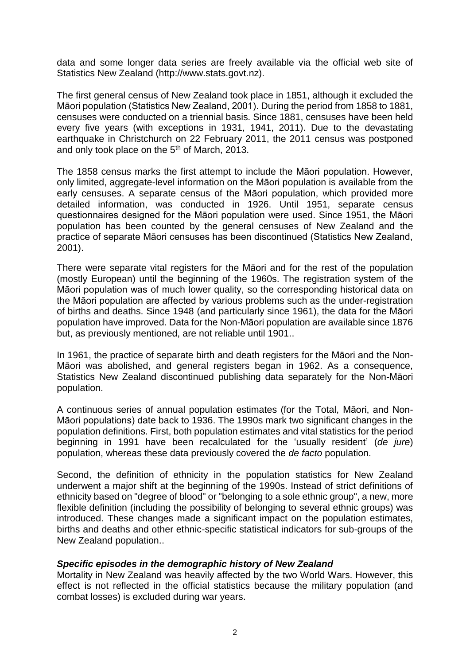data and some longer data series are freely available via the official web site of Statistics New Zealand (http://www.stats.govt.nz).

The first general census of New Zealand took place in 1851, although it excluded the Māori population (Statistics New Zealand, 2001). During the period from 1858 to 1881, censuses were conducted on a triennial basis. Since 1881, censuses have been held every five years (with exceptions in 1931, 1941, 2011). Due to the devastating earthquake in Christchurch on 22 February 2011, the 2011 census was postponed and only took place on the 5<sup>th</sup> of March, 2013.

The 1858 census marks the first attempt to include the Māori population. However, only limited, aggregate-level information on the Māori population is available from the early censuses. A separate census of the Māori population, which provided more detailed information, was conducted in 1926. Until 1951, separate census questionnaires designed for the Māori population were used. Since 1951, the Māori population has been counted by the general censuses of New Zealand and the practice of separate Māori censuses has been discontinued (Statistics New Zealand, 2001).

There were separate vital registers for the Māori and for the rest of the population (mostly European) until the beginning of the 1960s. The registration system of the Māori population was of much lower quality, so the corresponding historical data on the Māori population are affected by various problems such as the under-registration of births and deaths. Since 1948 (and particularly since 1961), the data for the Māori population have improved. Data for the Non-Māori population are available since 1876 but, as previously mentioned, are not reliable until 1901..

In 1961, the practice of separate birth and death registers for the Māori and the Non-Māori was abolished, and general registers began in 1962. As a consequence, Statistics New Zealand discontinued publishing data separately for the Non-Māori population.

A continuous series of annual population estimates (for the Total, Māori, and Non-Māori populations) date back to 1936. The 1990s mark two significant changes in the population definitions. First, both population estimates and vital statistics for the period beginning in 1991 have been recalculated for the 'usually resident' (*de jure*) population, whereas these data previously covered the *de facto* population.

Second, the definition of ethnicity in the population statistics for New Zealand underwent a major shift at the beginning of the 1990s. Instead of strict definitions of ethnicity based on "degree of blood" or "belonging to a sole ethnic group", a new, more flexible definition (including the possibility of belonging to several ethnic groups) was introduced. These changes made a significant impact on the population estimates, births and deaths and other ethnic-specific statistical indicators for sub-groups of the New Zealand population..

## *Specific episodes in the demographic history of New Zealand*

Mortality in New Zealand was heavily affected by the two World Wars. However, this effect is not reflected in the official statistics because the military population (and combat losses) is excluded during war years.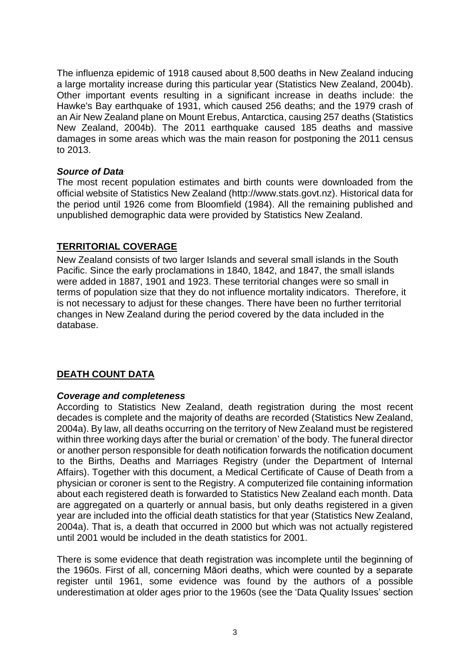The influenza epidemic of 1918 caused about 8,500 deaths in New Zealand inducing a large mortality increase during this particular year (Statistics New Zealand, 2004b). Other important events resulting in a significant increase in deaths include: the Hawke's Bay earthquake of 1931, which caused 256 deaths; and the 1979 crash of an Air New Zealand plane on Mount Erebus, Antarctica, causing 257 deaths (Statistics New Zealand, 2004b). The 2011 earthquake caused 185 deaths and massive damages in some areas which was the main reason for postponing the 2011 census to 2013.

## *Source of Data*

The most recent population estimates and birth counts were downloaded from the official website of Statistics New Zealand (http://www.stats.govt.nz). Historical data for the period until 1926 come from Bloomfield (1984). All the remaining published and unpublished demographic data were provided by Statistics New Zealand.

## **TERRITORIAL COVERAGE**

New Zealand consists of two larger Islands and several small islands in the South Pacific. Since the early proclamations in 1840, 1842, and 1847, the small islands were added in 1887, 1901 and 1923. These territorial changes were so small in terms of population size that they do not influence mortality indicators. Therefore, it is not necessary to adjust for these changes. There have been no further territorial changes in New Zealand during the period covered by the data included in the database.

# **DEATH COUNT DATA**

## *Coverage and completeness*

According to Statistics New Zealand, death registration during the most recent decades is complete and the majority of deaths are recorded (Statistics New Zealand, 2004a). By law, all deaths occurring on the territory of New Zealand must be registered within three working days after the burial or cremation' of the body. The funeral director or another person responsible for death notification forwards the notification document to the Births, Deaths and Marriages Registry (under the Department of Internal Affairs). Together with this document, a Medical Certificate of Cause of Death from a physician or coroner is sent to the Registry. A computerized file containing information about each registered death is forwarded to Statistics New Zealand each month. Data are aggregated on a quarterly or annual basis, but only deaths registered in a given year are included into the official death statistics for that year (Statistics New Zealand, 2004a). That is, a death that occurred in 2000 but which was not actually registered until 2001 would be included in the death statistics for 2001.

There is some evidence that death registration was incomplete until the beginning of the 1960s. First of all, concerning Māori deaths, which were counted by a separate register until 1961, some evidence was found by the authors of a possible underestimation at older ages prior to the 1960s (see the 'Data Quality Issues' section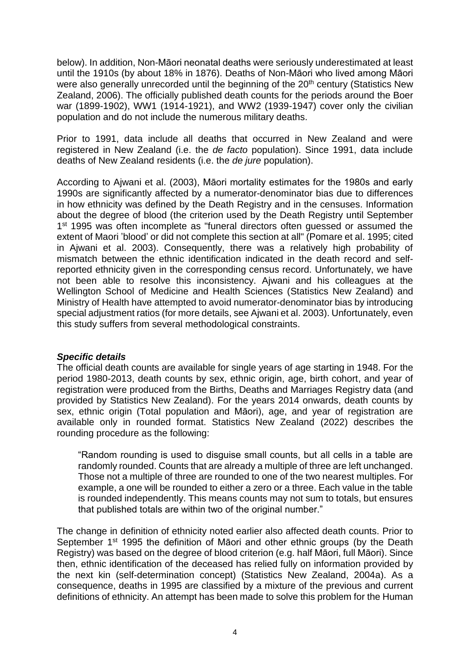below). In addition, Non-Māori neonatal deaths were seriously underestimated at least until the 1910s (by about 18% in 1876). Deaths of Non-Māori who lived among Māori were also generally unrecorded until the beginning of the 20<sup>th</sup> century (Statistics New Zealand, 2006). The officially published death counts for the periods around the Boer war (1899-1902), WW1 (1914-1921), and WW2 (1939-1947) cover only the civilian population and do not include the numerous military deaths.

Prior to 1991, data include all deaths that occurred in New Zealand and were registered in New Zealand (i.e. the *de facto* population). Since 1991, data include deaths of New Zealand residents (i.e. the *de jure* population).

According to Ajwani et al. (2003), Māori mortality estimates for the 1980s and early 1990s are significantly affected by a numerator-denominator bias due to differences in how ethnicity was defined by the Death Registry and in the censuses. Information about the degree of blood (the criterion used by the Death Registry until September 1<sup>st</sup> 1995 was often incomplete as "funeral directors often guessed or assumed the extent of Maori 'blood' or did not complete this section at all" (Pomare et al. 1995; cited in Ajwani et al. 2003). Consequently, there was a relatively high probability of mismatch between the ethnic identification indicated in the death record and selfreported ethnicity given in the corresponding census record. Unfortunately, we have not been able to resolve this inconsistency. Ajwani and his colleagues at the Wellington School of Medicine and Health Sciences (Statistics New Zealand) and Ministry of Health have attempted to avoid numerator-denominator bias by introducing special adjustment ratios (for more details, see Ajwani et al. 2003). Unfortunately, even this study suffers from several methodological constraints.

#### *Specific details*

The official death counts are available for single years of age starting in 1948. For the period 1980-2013, death counts by sex, ethnic origin, age, birth cohort, and year of registration were produced from the Births, Deaths and Marriages Registry data (and provided by Statistics New Zealand). For the years 2014 onwards, death counts by sex, ethnic origin (Total population and Māori), age, and year of registration are available only in rounded format. Statistics New Zealand (2022) describes the rounding procedure as the following:

"Random rounding is used to disguise small counts, but all cells in a table are randomly rounded. Counts that are already a multiple of three are left unchanged. Those not a multiple of three are rounded to one of the two nearest multiples. For example, a one will be rounded to either a zero or a three. Each value in the table is rounded independently. This means counts may not sum to totals, but ensures that published totals are within two of the original number."

The change in definition of ethnicity noted earlier also affected death counts. Prior to September 1<sup>st</sup> 1995 the definition of Māori and other ethnic groups (by the Death Registry) was based on the degree of blood criterion (e.g. half Māori, full Māori). Since then, ethnic identification of the deceased has relied fully on information provided by the next kin (self-determination concept) (Statistics New Zealand, 2004a). As a consequence, deaths in 1995 are classified by a mixture of the previous and current definitions of ethnicity. An attempt has been made to solve this problem for the Human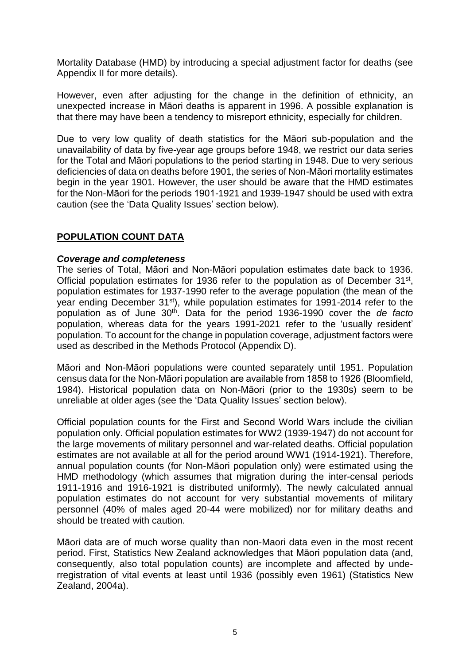Mortality Database (HMD) by introducing a special adjustment factor for deaths (see Appendix II for more details).

However, even after adjusting for the change in the definition of ethnicity, an unexpected increase in Māori deaths is apparent in 1996. A possible explanation is that there may have been a tendency to misreport ethnicity, especially for children.

Due to very low quality of death statistics for the Māori sub-population and the unavailability of data by five-year age groups before 1948, we restrict our data series for the Total and Māori populations to the period starting in 1948. Due to very serious deficiencies of data on deaths before 1901, the series of Non-Māori mortality estimates begin in the year 1901. However, the user should be aware that the HMD estimates for the Non-Māori for the periods 1901-1921 and 1939-1947 should be used with extra caution (see the 'Data Quality Issues' section below).

# **POPULATION COUNT DATA**

## *Coverage and completeness*

The series of Total, Māori and Non-Māori population estimates date back to 1936. Official population estimates for 1936 refer to the population as of December  $31^{st}$ , population estimates for 1937-1990 refer to the average population (the mean of the year ending December 31<sup>st</sup>), while population estimates for 1991-2014 refer to the population as of June 30<sup>th</sup>. Data for the period 1936-1990 cover the *de facto* population, whereas data for the years 1991-2021 refer to the 'usually resident' population. To account for the change in population coverage, adjustment factors were used as described in the Methods Protocol (Appendix D).

Māori and Non-Māori populations were counted separately until 1951. Population census data for the Non-Māori population are available from 1858 to 1926 (Bloomfield, 1984). Historical population data on Non-Māori (prior to the 1930s) seem to be unreliable at older ages (see the 'Data Quality Issues' section below).

Official population counts for the First and Second World Wars include the civilian population only. Official population estimates for WW2 (1939-1947) do not account for the large movements of military personnel and war-related deaths. Official population estimates are not available at all for the period around WW1 (1914-1921). Therefore, annual population counts (for Non-Māori population only) were estimated using the HMD methodology (which assumes that migration during the inter-censal periods 1911-1916 and 1916-1921 is distributed uniformly). The newly calculated annual population estimates do not account for very substantial movements of military personnel (40% of males aged 20-44 were mobilized) nor for military deaths and should be treated with caution.

Māori data are of much worse quality than non-Maori data even in the most recent period. First, Statistics New Zealand acknowledges that Māori population data (and, consequently, also total population counts) are incomplete and affected by underregistration of vital events at least until 1936 (possibly even 1961) (Statistics New Zealand, 2004a).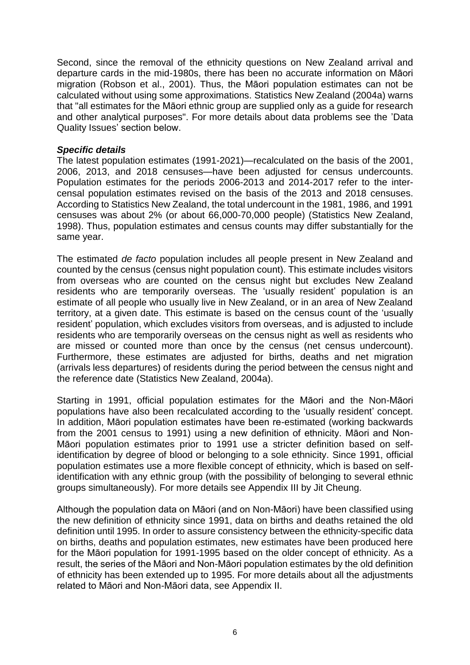Second, since the removal of the ethnicity questions on New Zealand arrival and departure cards in the mid-1980s, there has been no accurate information on Māori migration (Robson et al., 2001). Thus, the Māori population estimates can not be calculated without using some approximations. Statistics New Zealand (2004a) warns that "all estimates for the Māori ethnic group are supplied only as a guide for research and other analytical purposes". For more details about data problems see the 'Data Quality Issues' section below.

### *Specific details*

The latest population estimates (1991-2021)—recalculated on the basis of the 2001, 2006, 2013, and 2018 censuses—have been adjusted for census undercounts. Population estimates for the periods 2006-2013 and 2014-2017 refer to the intercensal population estimates revised on the basis of the 2013 and 2018 censuses. According to Statistics New Zealand, the total undercount in the 1981, 1986, and 1991 censuses was about 2% (or about 66,000-70,000 people) (Statistics New Zealand, 1998). Thus, population estimates and census counts may differ substantially for the same year.

The estimated *de facto* population includes all people present in New Zealand and counted by the census (census night population count). This estimate includes visitors from overseas who are counted on the census night but excludes New Zealand residents who are temporarily overseas. The 'usually resident' population is an estimate of all people who usually live in New Zealand, or in an area of New Zealand territory, at a given date. This estimate is based on the census count of the 'usually resident' population, which excludes visitors from overseas, and is adjusted to include residents who are temporarily overseas on the census night as well as residents who are missed or counted more than once by the census (net census undercount). Furthermore, these estimates are adjusted for births, deaths and net migration (arrivals less departures) of residents during the period between the census night and the reference date (Statistics New Zealand, 2004a).

Starting in 1991, official population estimates for the Māori and the Non-Māori populations have also been recalculated according to the 'usually resident' concept. In addition, Māori population estimates have been re-estimated (working backwards from the 2001 census to 1991) using a new definition of ethnicity. Māori and Non-Māori population estimates prior to 1991 use a stricter definition based on selfidentification by degree of blood or belonging to a sole ethnicity. Since 1991, official population estimates use a more flexible concept of ethnicity, which is based on selfidentification with any ethnic group (with the possibility of belonging to several ethnic groups simultaneously). For more details see Appendix III by Jit Cheung.

Although the population data on Māori (and on Non-Māori) have been classified using the new definition of ethnicity since 1991, data on births and deaths retained the old definition until 1995. In order to assure consistency between the ethnicity-specific data on births, deaths and population estimates, new estimates have been produced here for the Māori population for 1991-1995 based on the older concept of ethnicity. As a result, the series of the Māori and Non-Māori population estimates by the old definition of ethnicity has been extended up to 1995. For more details about all the adjustments related to Māori and Non-Māori data, see Appendix II.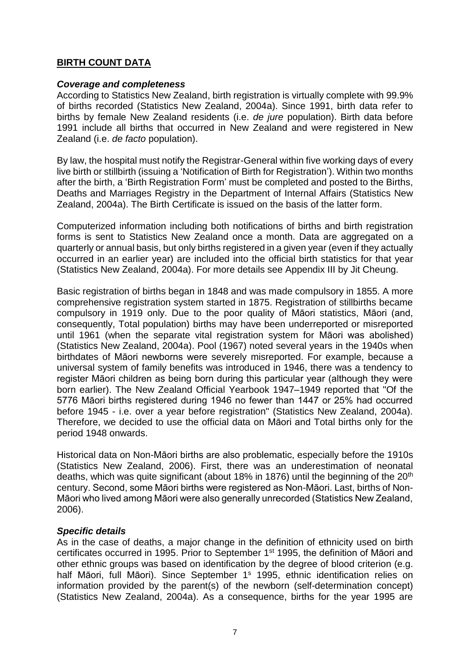# **BIRTH COUNT DATA**

### *Coverage and completeness*

According to Statistics New Zealand, birth registration is virtually complete with 99.9% of births recorded (Statistics New Zealand, 2004a). Since 1991, birth data refer to births by female New Zealand residents (i.e. *de jure* population). Birth data before 1991 include all births that occurred in New Zealand and were registered in New Zealand (i.e. *de facto* population).

By law, the hospital must notify the Registrar-General within five working days of every live birth or stillbirth (issuing a 'Notification of Birth for Registration'). Within two months after the birth, a 'Birth Registration Form' must be completed and posted to the Births, Deaths and Marriages Registry in the Department of Internal Affairs (Statistics New Zealand, 2004a). The Birth Certificate is issued on the basis of the latter form.

Computerized information including both notifications of births and birth registration forms is sent to Statistics New Zealand once a month. Data are aggregated on a quarterly or annual basis, but only births registered in a given year (even if they actually occurred in an earlier year) are included into the official birth statistics for that year (Statistics New Zealand, 2004a). For more details see Appendix III by Jit Cheung.

Basic registration of births began in 1848 and was made compulsory in 1855. A more comprehensive registration system started in 1875. Registration of stillbirths became compulsory in 1919 only. Due to the poor quality of Māori statistics, Māori (and, consequently, Total population) births may have been underreported or misreported until 1961 (when the separate vital registration system for Māori was abolished) (Statistics New Zealand, 2004a). Pool (1967) noted several years in the 1940s when birthdates of Māori newborns were severely misreported. For example, because a universal system of family benefits was introduced in 1946, there was a tendency to register Māori children as being born during this particular year (although they were born earlier). The New Zealand Official Yearbook 1947–1949 reported that "Of the 5776 Māori births registered during 1946 no fewer than 1447 or 25% had occurred before 1945 - i.e. over a year before registration" (Statistics New Zealand, 2004a). Therefore, we decided to use the official data on Māori and Total births only for the period 1948 onwards.

Historical data on Non-Māori births are also problematic, especially before the 1910s (Statistics New Zealand, 2006). First, there was an underestimation of neonatal deaths, which was quite significant (about 18% in 1876) until the beginning of the 20<sup>th</sup> century. Second, some Māori births were registered as Non-Māori. Last, births of Non-Māori who lived among Māori were also generally unrecorded (Statistics New Zealand, 2006).

## *Specific details*

As in the case of deaths, a major change in the definition of ethnicity used on birth certificates occurred in 1995. Prior to September 1st 1995, the definition of Māori and other ethnic groups was based on identification by the degree of blood criterion (e.g. half Māori, full Māori). Since September 1<sup>s</sup> 1995, ethnic identification relies on information provided by the parent(s) of the newborn (self-determination concept) (Statistics New Zealand, 2004a). As a consequence, births for the year 1995 are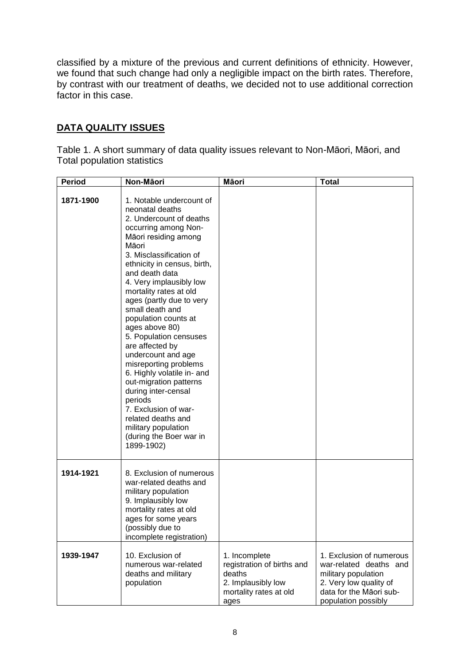classified by a mixture of the previous and current definitions of ethnicity. However, we found that such change had only a negligible impact on the birth rates. Therefore, by contrast with our treatment of deaths, we decided not to use additional correction factor in this case.

# **DATA QUALITY ISSUES**

Table 1. A short summary of data quality issues relevant to Non-Māori, Māori, and Total population statistics

| <b>Period</b> | Non-Māori                                                                                                                                                                                                                                                                                                                                                                                                                                                                                                                                                                                                                                                     | Māori                                                                                                         | <b>Total</b>                                                                                                                                          |
|---------------|---------------------------------------------------------------------------------------------------------------------------------------------------------------------------------------------------------------------------------------------------------------------------------------------------------------------------------------------------------------------------------------------------------------------------------------------------------------------------------------------------------------------------------------------------------------------------------------------------------------------------------------------------------------|---------------------------------------------------------------------------------------------------------------|-------------------------------------------------------------------------------------------------------------------------------------------------------|
| 1871-1900     | 1. Notable undercount of<br>neonatal deaths<br>2. Undercount of deaths<br>occurring among Non-<br>Māori residing among<br>Māori<br>3. Misclassification of<br>ethnicity in census, birth,<br>and death data<br>4. Very implausibly low<br>mortality rates at old<br>ages (partly due to very<br>small death and<br>population counts at<br>ages above 80)<br>5. Population censuses<br>are affected by<br>undercount and age<br>misreporting problems<br>6. Highly volatile in- and<br>out-migration patterns<br>during inter-censal<br>periods<br>7. Exclusion of war-<br>related deaths and<br>military population<br>(during the Boer war in<br>1899-1902) |                                                                                                               |                                                                                                                                                       |
| 1914-1921     | 8. Exclusion of numerous<br>war-related deaths and<br>military population<br>9. Implausibly low<br>mortality rates at old<br>ages for some years<br>(possibly due to<br>incomplete registration)                                                                                                                                                                                                                                                                                                                                                                                                                                                              |                                                                                                               |                                                                                                                                                       |
| 1939-1947     | 10. Exclusion of<br>numerous war-related<br>deaths and military<br>population                                                                                                                                                                                                                                                                                                                                                                                                                                                                                                                                                                                 | 1. Incomplete<br>registration of births and<br>deaths<br>2. Implausibly low<br>mortality rates at old<br>ages | 1. Exclusion of numerous<br>war-related deaths and<br>military population<br>2. Very low quality of<br>data for the Māori sub-<br>population possibly |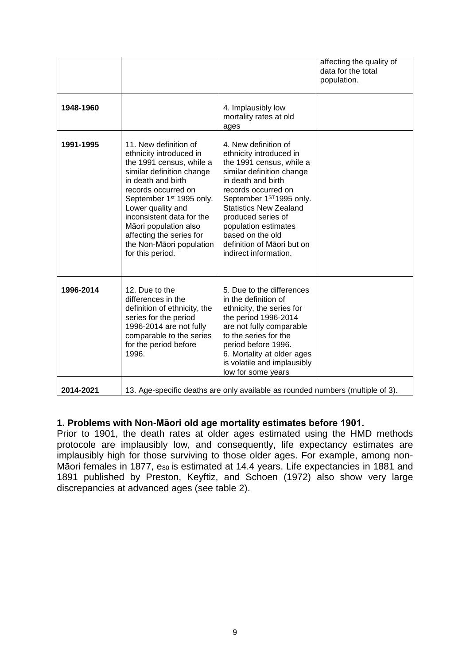|           |                                                                                                                                                                                                                                                                                                                                                       |                                                                                                                                                                                                                                                                                                                                            | affecting the quality of<br>data for the total<br>population. |
|-----------|-------------------------------------------------------------------------------------------------------------------------------------------------------------------------------------------------------------------------------------------------------------------------------------------------------------------------------------------------------|--------------------------------------------------------------------------------------------------------------------------------------------------------------------------------------------------------------------------------------------------------------------------------------------------------------------------------------------|---------------------------------------------------------------|
| 1948-1960 |                                                                                                                                                                                                                                                                                                                                                       | 4. Implausibly low<br>mortality rates at old<br>ages                                                                                                                                                                                                                                                                                       |                                                               |
| 1991-1995 | 11. New definition of<br>ethnicity introduced in<br>the 1991 census, while a<br>similar definition change<br>in death and birth<br>records occurred on<br>September 1 <sup>st</sup> 1995 only.<br>Lower quality and<br>inconsistent data for the<br>Māori population also<br>affecting the series for<br>the Non-Māori population<br>for this period. | 4. New definition of<br>ethnicity introduced in<br>the 1991 census, while a<br>similar definition change<br>in death and birth<br>records occurred on<br>September 1ST1995 only.<br><b>Statistics New Zealand</b><br>produced series of<br>population estimates<br>based on the old<br>definition of Māori but on<br>indirect information. |                                                               |
| 1996-2014 | 12. Due to the<br>differences in the<br>definition of ethnicity, the<br>series for the period<br>1996-2014 are not fully<br>comparable to the series<br>for the period before<br>1996.                                                                                                                                                                | 5. Due to the differences<br>in the definition of<br>ethnicity, the series for<br>the period 1996-2014<br>are not fully comparable<br>to the series for the<br>period before 1996.<br>6. Mortality at older ages<br>is volatile and implausibly<br>low for some years                                                                      |                                                               |
| 2014-2021 |                                                                                                                                                                                                                                                                                                                                                       | 13. Age-specific deaths are only available as rounded numbers (multiple of 3).                                                                                                                                                                                                                                                             |                                                               |

# **1. Problems with Non-Māori old age mortality estimates before 1901.**

Prior to 1901, the death rates at older ages estimated using the HMD methods protocole are implausibly low, and consequently, life expectancy estimates are implausibly high for those surviving to those older ages. For example, among non-Maori females in 1877, eso is estimated at 14.4 years. Life expectancies in 1881 and 1891 published by Preston, Keyftiz, and Schoen (1972) also show very large discrepancies at advanced ages (see table 2).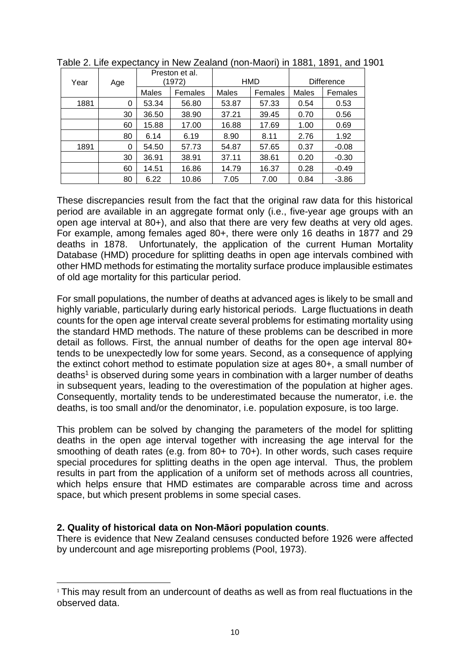|      |     | Preston et al.<br>(1972) |         | HMD   |         | <b>Difference</b> |         |
|------|-----|--------------------------|---------|-------|---------|-------------------|---------|
| Year | Age |                          |         |       |         |                   |         |
|      |     | Males                    | Females | Males | Females | Males             | Females |
| 1881 | 0   | 53.34                    | 56.80   | 53.87 | 57.33   | 0.54              | 0.53    |
|      | 30  | 36.50                    | 38.90   | 37.21 | 39.45   | 0.70              | 0.56    |
|      | 60  | 15.88                    | 17.00   | 16.88 | 17.69   | 1.00              | 0.69    |
|      | 80  | 6.14                     | 6.19    | 8.90  | 8.11    | 2.76              | 1.92    |
| 1891 | 0   | 54.50                    | 57.73   | 54.87 | 57.65   | 0.37              | $-0.08$ |
|      | 30  | 36.91                    | 38.91   | 37.11 | 38.61   | 0.20              | $-0.30$ |
|      | 60  | 14.51                    | 16.86   | 14.79 | 16.37   | 0.28              | $-0.49$ |
|      | 80  | 6.22                     | 10.86   | 7.05  | 7.00    | 0.84              | $-3.86$ |

Table 2. Life expectancy in New Zealand (non-Maori) in 1881, 1891, and 1901

These discrepancies result from the fact that the original raw data for this historical period are available in an aggregate format only (i.e., five-year age groups with an open age interval at 80+), and also that there are very few deaths at very old ages. For example, among females aged 80+, there were only 16 deaths in 1877 and 29 deaths in 1878. Unfortunately, the application of the current Human Mortality Database (HMD) procedure for splitting deaths in open age intervals combined with other HMD methods for estimating the mortality surface produce implausible estimates of old age mortality for this particular period.

For small populations, the number of deaths at advanced ages is likely to be small and highly variable, particularly during early historical periods. Large fluctuations in death counts for the open age interval create several problems for estimating mortality using the standard HMD methods. The nature of these problems can be described in more detail as follows. First, the annual number of deaths for the open age interval 80+ tends to be unexpectedly low for some years. Second, as a consequence of applying the extinct cohort method to estimate population size at ages 80+, a small number of deaths<sup>1</sup> is observed during some years in combination with a larger number of deaths in subsequent years, leading to the overestimation of the population at higher ages. Consequently, mortality tends to be underestimated because the numerator, i.e. the deaths, is too small and/or the denominator, i.e. population exposure, is too large.

This problem can be solved by changing the parameters of the model for splitting deaths in the open age interval together with increasing the age interval for the smoothing of death rates (e.g. from 80+ to 70+). In other words, such cases require special procedures for splitting deaths in the open age interval. Thus, the problem results in part from the application of a uniform set of methods across all countries, which helps ensure that HMD estimates are comparable across time and across space, but which present problems in some special cases.

# **2. Quality of historical data on Non-Māori population counts**.

There is evidence that New Zealand censuses conducted before 1926 were affected by undercount and age misreporting problems (Pool, 1973).

<sup>-</sup><sup>1</sup> This may result from an undercount of deaths as well as from real fluctuations in the observed data.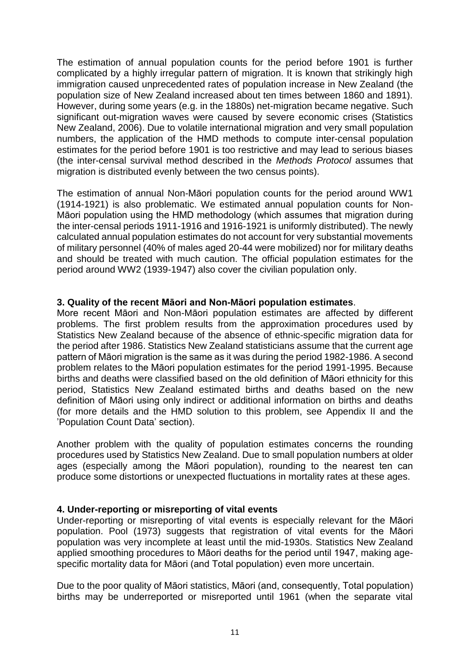The estimation of annual population counts for the period before 1901 is further complicated by a highly irregular pattern of migration. It is known that strikingly high immigration caused unprecedented rates of population increase in New Zealand (the population size of New Zealand increased about ten times between 1860 and 1891). However, during some years (e.g. in the 1880s) net-migration became negative. Such significant out-migration waves were caused by severe economic crises (Statistics New Zealand, 2006). Due to volatile international migration and very small population numbers, the application of the HMD methods to compute inter-censal population estimates for the period before 1901 is too restrictive and may lead to serious biases (the inter-censal survival method described in the *Methods Protocol* assumes that migration is distributed evenly between the two census points).

The estimation of annual Non-Māori population counts for the period around WW1 (1914-1921) is also problematic. We estimated annual population counts for Non-Māori population using the HMD methodology (which assumes that migration during the inter-censal periods 1911-1916 and 1916-1921 is uniformly distributed). The newly calculated annual population estimates do not account for very substantial movements of military personnel (40% of males aged 20-44 were mobilized) nor for military deaths and should be treated with much caution. The official population estimates for the period around WW2 (1939-1947) also cover the civilian population only.

### **3. Quality of the recent Māori and Non-Māori population estimates**.

More recent Māori and Non-Māori population estimates are affected by different problems. The first problem results from the approximation procedures used by Statistics New Zealand because of the absence of ethnic-specific migration data for the period after 1986. Statistics New Zealand statisticians assume that the current age pattern of Māori migration is the same as it was during the period 1982-1986. A second problem relates to the Māori population estimates for the period 1991-1995. Because births and deaths were classified based on the old definition of Māori ethnicity for this period, Statistics New Zealand estimated births and deaths based on the new definition of Māori using only indirect or additional information on births and deaths (for more details and the HMD solution to this problem, see Appendix II and the 'Population Count Data' section).

Another problem with the quality of population estimates concerns the rounding procedures used by Statistics New Zealand. Due to small population numbers at older ages (especially among the Māori population), rounding to the nearest ten can produce some distortions or unexpected fluctuations in mortality rates at these ages.

#### **4. Under-reporting or misreporting of vital events**

Under-reporting or misreporting of vital events is especially relevant for the Māori population. Pool (1973) suggests that registration of vital events for the Māori population was very incomplete at least until the mid-1930s. Statistics New Zealand applied smoothing procedures to Māori deaths for the period until 1947, making agespecific mortality data for Māori (and Total population) even more uncertain.

Due to the poor quality of Māori statistics, Māori (and, consequently, Total population) births may be underreported or misreported until 1961 (when the separate vital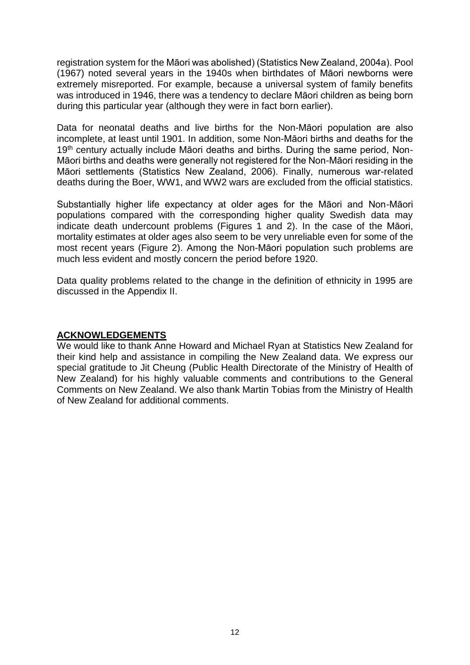registration system for the Māori was abolished) (Statistics New Zealand, 2004a). Pool (1967) noted several years in the 1940s when birthdates of Māori newborns were extremely misreported. For example, because a universal system of family benefits was introduced in 1946, there was a tendency to declare Māori children as being born during this particular year (although they were in fact born earlier).

Data for neonatal deaths and live births for the Non-Māori population are also incomplete, at least until 1901. In addition, some Non-Māori births and deaths for the 19<sup>th</sup> century actually include Māori deaths and births. During the same period, Non-Māori births and deaths were generally not registered for the Non-Māori residing in the Māori settlements (Statistics New Zealand, 2006). Finally, numerous war-related deaths during the Boer, WW1, and WW2 wars are excluded from the official statistics.

Substantially higher life expectancy at older ages for the Māori and Non-Māori populations compared with the corresponding higher quality Swedish data may indicate death undercount problems (Figures 1 and 2). In the case of the Māori, mortality estimates at older ages also seem to be very unreliable even for some of the most recent years (Figure 2). Among the Non-Māori population such problems are much less evident and mostly concern the period before 1920.

Data quality problems related to the change in the definition of ethnicity in 1995 are discussed in the Appendix II.

## **ACKNOWLEDGEMENTS**

We would like to thank Anne Howard and Michael Ryan at Statistics New Zealand for their kind help and assistance in compiling the New Zealand data. We express our special gratitude to Jit Cheung (Public Health Directorate of the Ministry of Health of New Zealand) for his highly valuable comments and contributions to the General Comments on New Zealand. We also thank Martin Tobias from the Ministry of Health of New Zealand for additional comments.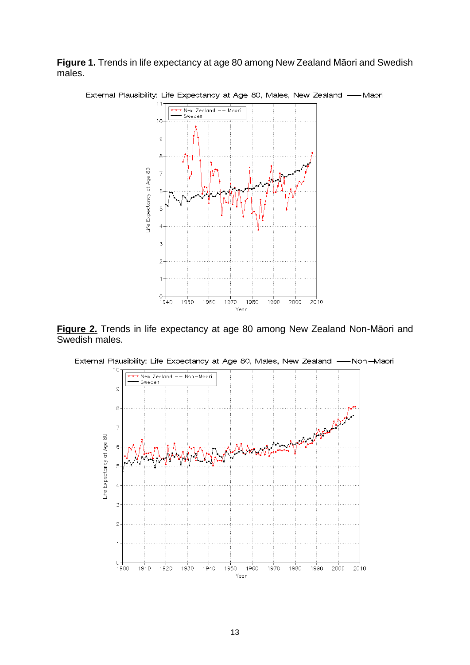**Figure 1.** Trends in life expectancy at age 80 among New Zealand Māori and Swedish males.



**Figure 2.** Trends in life expectancy at age 80 among New Zealand Non-Māori and Swedish males.



External Plausibility: Life Expectancy at Age 80, Males, New Zealand --Non-Maori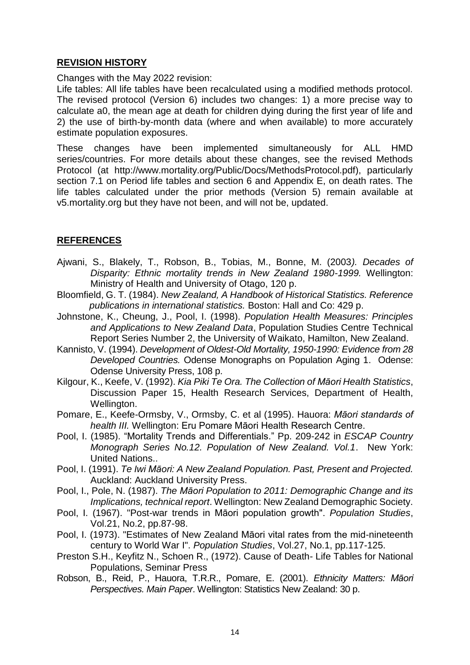## **REVISION HISTORY**

Changes with the May 2022 revision:

Life tables: All life tables have been recalculated using a modified methods protocol. The revised protocol (Version 6) includes two changes: 1) a more precise way to calculate a0, the mean age at death for children dying during the first year of life and 2) the use of birth-by-month data (where and when available) to more accurately estimate population exposures.

These changes have been implemented simultaneously for ALL HMD series/countries. For more details about these changes, see the revised Methods Protocol (at http://www.mortality.org/Public/Docs/MethodsProtocol.pdf), particularly section 7.1 on Period life tables and section 6 and Appendix E, on death rates. The life tables calculated under the prior methods (Version 5) remain available at v5.mortality.org but they have not been, and will not be, updated.

# **REFERENCES**

- Ajwani, S., Blakely, T., Robson, B., Tobias, M., Bonne, M. (2003*). Decades of Disparity: Ethnic mortality trends in New Zealand 1980-1999.* Wellington: Ministry of Health and University of Otago, 120 p.
- Bloomfield, G. T. (1984). *New Zealand, A Handbook of Historical Statistics. Reference publications in international statistics.* Boston: Hall and Co: 429 p.
- Johnstone, K., Cheung, J., Pool, I. (1998). *Population Health Measures: Principles and Applications to New Zealand Data*, Population Studies Centre Technical Report Series Number 2, the University of Waikato, Hamilton, New Zealand.
- Kannisto, V. (1994). *Development of Oldest-Old Mortality, 1950-1990: Evidence from 28 Developed Countries.* Odense Monographs on Population Aging 1. Odense: Odense University Press, 108 p.
- Kilgour, K., Keefe, V. (1992). *Kia Piki Te Ora. The Collection of Māori Health Statistics*, Discussion Paper 15, Health Research Services, Department of Health, Wellington.
- Pomare, E., Keefe-Ormsby, V., Ormsby, C. et al (1995). Hauora: *Māori standards of health III.* Wellington: Eru Pomare Māori Health Research Centre.
- Pool, I. (1985). "Mortality Trends and Differentials." Pp. 209-242 in *ESCAP Country Monograph Series No.12. Population of New Zealand. Vol.1*. New York: United Nations..
- Pool, I. (1991). *Te Iwi Māori: A New Zealand Population. Past, Present and Projected.* Auckland: Auckland University Press.
- Pool, I., Pole, N. (1987). *The Māori Population to 2011: Demographic Change and its Implications, technical report*. Wellington: New Zealand Demographic Society.
- Pool, I. (1967). "Post-war trends in Māori population growth". *Population Studies*, Vol.21, No.2, pp.87-98.
- Pool, I. (1973). "Estimates of New Zealand Māori vital rates from the mid-nineteenth century to World War I". *Population Studies*, Vol.27, No.1, pp.117-125.
- Preston S.H., Keyfitz N., Schoen R., (1972). Cause of Death- Life Tables for National Populations, Seminar Press
- Robson, B., Reid, P., Hauora, T.R.R., Pomare, E. (2001). *Ethnicity Matters: Māori Perspectives. Main Paper*. Wellington: Statistics New Zealand: 30 p.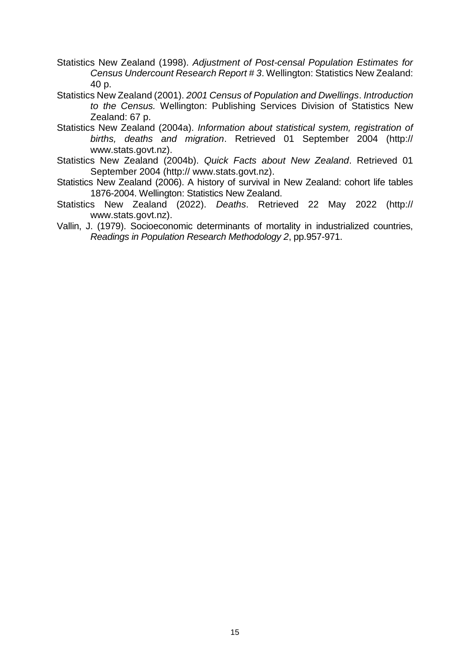- Statistics New Zealand (1998). *Adjustment of Post-censal Population Estimates for Census Undercount Research Report # 3*. Wellington: Statistics New Zealand: 40 p.
- Statistics New Zealand (2001). *2001 Census of Population and Dwellings*. *Introduction to the Census.* Wellington: Publishing Services Division of Statistics New Zealand: 67 p.
- Statistics New Zealand (2004a). *Information about statistical system, registration of births, deaths and migration*. Retrieved 01 September 2004 (http:// www.stats.govt.nz).
- Statistics New Zealand (2004b). *Quick Facts about New Zealand*. Retrieved 01 September 2004 (http:// www.stats.govt.nz).
- Statistics New Zealand (2006). A history of survival in New Zealand: cohort life tables 1876-2004. Wellington: Statistics New Zealand.
- Statistics New Zealand (2022). *Deaths*. Retrieved 22 May 2022 (http:// www.stats.govt.nz).
- Vallin, J. (1979). Socioeconomic determinants of mortality in industrialized countries, *Readings in Population Research Methodology 2*, pp.957-971.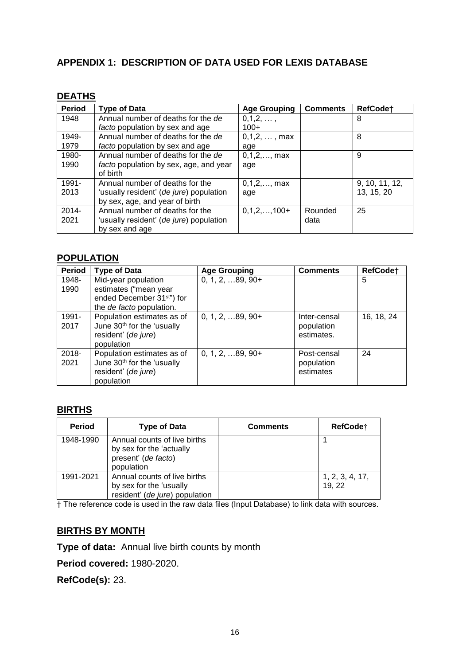# **APPENDIX 1: DESCRIPTION OF DATA USED FOR LEXIS DATABASE**

## **DEATHS**

| <b>Period</b> | <b>Type of Data</b>                     | <b>Age Grouping</b>     | <b>Comments</b> | RefCode <sup>+</sup> |
|---------------|-----------------------------------------|-------------------------|-----------------|----------------------|
| 1948          | Annual number of deaths for the de      | 0,1,2,,                 |                 | 8                    |
|               | facto population by sex and age         | $100+$                  |                 |                      |
| 1949-         | Annual number of deaths for the de      | 0,1,2,,max              |                 | 8                    |
| 1979          | facto population by sex and age         | age                     |                 |                      |
| 1980-         | Annual number of deaths for the de      | $0, 1, 2, \ldots,$ max  |                 | 9                    |
| 1990          | facto population by sex, age, and year  | age                     |                 |                      |
|               | of birth                                |                         |                 |                      |
| 1991-         | Annual number of deaths for the         | $0, 1, 2, \ldots,$ max  |                 | 9, 10, 11, 12,       |
| 2013          | 'usually resident' (de jure) population | age                     |                 | 13, 15, 20           |
|               | by sex, age, and year of birth          |                         |                 |                      |
| $2014 -$      | Annual number of deaths for the         | $0, 1, 2, \ldots, 100+$ | Rounded         | 25                   |
| 2021          | 'usually resident' (de jure) population |                         | data            |                      |
|               | by sex and age                          |                         |                 |                      |

### **POPULATION**

| <b>Period</b> | <b>Type of Data</b>                    | <b>Age Grouping</b>       | <b>Comments</b> | RefCode†   |
|---------------|----------------------------------------|---------------------------|-----------------|------------|
| 1948-         | Mid-year population                    | $0, 1, 2, \ldots 89, 90+$ |                 | 5          |
| 1990          | estimates ("mean year                  |                           |                 |            |
|               | ended December 31 <sup>st"</sup> ) for |                           |                 |            |
|               | the de facto population.               |                           |                 |            |
| 1991-         | Population estimates as of             | $0, 1, 2, \ldots 89, 90+$ | Inter-censal    | 16, 18, 24 |
| 2017          | June 30th for the 'usually             |                           | population      |            |
|               | resident' (de jure)                    |                           | estimates.      |            |
|               | population                             |                           |                 |            |
| 2018-         | Population estimates as of             | $0, 1, 2, \ldots 89, 90+$ | Post-censal     | 24         |
| 2021          | June 30th for the 'usually             |                           | population      |            |
|               | resident' (de jure)                    |                           | estimates       |            |
|               | population                             |                           |                 |            |

# **BIRTHS**

| <b>Period</b> | <b>Type of Data</b>                                                                           | <b>Comments</b> | <b>RefCode</b> †          |
|---------------|-----------------------------------------------------------------------------------------------|-----------------|---------------------------|
| 1948-1990     | Annual counts of live births<br>by sex for the 'actually<br>present' (de facto)<br>population |                 |                           |
| 1991-2021     | Annual counts of live births<br>by sex for the 'usually<br>resident' (de jure) population     |                 | 1, 2, 3, 4, 17,<br>19, 22 |

† The reference code is used in the raw data files (Input Database) to link data with sources.

## **BIRTHS BY MONTH**

**Type of data:** Annual live birth counts by month

**Period covered:** 1980-2020.

**RefCode(s):** 23.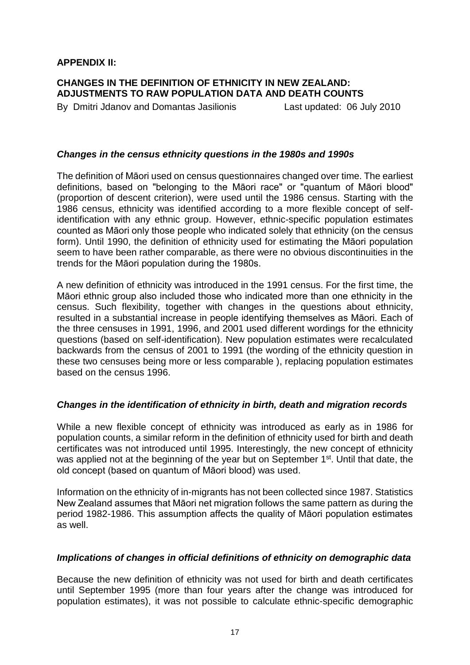## **APPENDIX II:**

## **CHANGES IN THE DEFINITION OF ETHNICITY IN NEW ZEALAND: ADJUSTMENTS TO RAW POPULATION DATA AND DEATH COUNTS**

By Dmitri Jdanov and Domantas Jasilionis Last updated: 06 July 2010

## *Changes in the census ethnicity questions in the 1980s and 1990s*

The definition of Māori used on census questionnaires changed over time. The earliest definitions, based on "belonging to the Māori race" or "quantum of Māori blood" (proportion of descent criterion), were used until the 1986 census. Starting with the 1986 census, ethnicity was identified according to a more flexible concept of selfidentification with any ethnic group. However, ethnic-specific population estimates counted as Māori only those people who indicated solely that ethnicity (on the census form). Until 1990, the definition of ethnicity used for estimating the Māori population seem to have been rather comparable, as there were no obvious discontinuities in the trends for the Māori population during the 1980s.

A new definition of ethnicity was introduced in the 1991 census. For the first time, the Māori ethnic group also included those who indicated more than one ethnicity in the census. Such flexibility, together with changes in the questions about ethnicity, resulted in a substantial increase in people identifying themselves as Māori. Each of the three censuses in 1991, 1996, and 2001 used different wordings for the ethnicity questions (based on self-identification). New population estimates were recalculated backwards from the census of 2001 to 1991 (the wording of the ethnicity question in these two censuses being more or less comparable ), replacing population estimates based on the census 1996.

## *Changes in the identification of ethnicity in birth, death and migration records*

While a new flexible concept of ethnicity was introduced as early as in 1986 for population counts, a similar reform in the definition of ethnicity used for birth and death certificates was not introduced until 1995. Interestingly, the new concept of ethnicity was applied not at the beginning of the year but on September 1<sup>st</sup>. Until that date, the old concept (based on quantum of Māori blood) was used.

Information on the ethnicity of in-migrants has not been collected since 1987. Statistics New Zealand assumes that Māori net migration follows the same pattern as during the period 1982-1986. This assumption affects the quality of Māori population estimates as well.

## *Implications of changes in official definitions of ethnicity on demographic data*

Because the new definition of ethnicity was not used for birth and death certificates until September 1995 (more than four years after the change was introduced for population estimates), it was not possible to calculate ethnic-specific demographic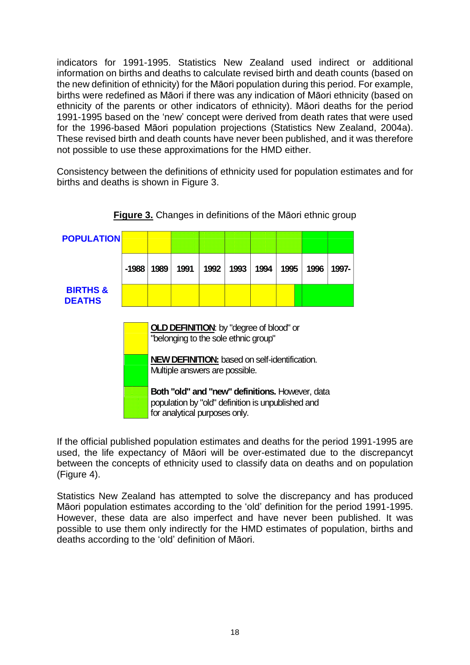indicators for 1991-1995. Statistics New Zealand used indirect or additional information on births and deaths to calculate revised birth and death counts (based on the new definition of ethnicity) for the Māori population during this period. For example, births were redefined as Māori if there was any indication of Māori ethnicity (based on ethnicity of the parents or other indicators of ethnicity). Māori deaths for the period 1991-1995 based on the 'new' concept were derived from death rates that were used for the 1996-based Māori population projections (Statistics New Zealand, 2004a). These revised birth and death counts have never been published, and it was therefore not possible to use these approximations for the HMD either.

Consistency between the definitions of ethnicity used for population estimates and for births and deaths is shown in Figure 3.

| <b>POPULATION</b>                    |                                                                                        |                                                                                                                                              |      |      |      |      |      |      |       |
|--------------------------------------|----------------------------------------------------------------------------------------|----------------------------------------------------------------------------------------------------------------------------------------------|------|------|------|------|------|------|-------|
|                                      | -1988                                                                                  | 1989                                                                                                                                         | 1991 | 1992 | 1993 | 1994 | 1995 | 1996 | 1997- |
| <b>BIRTHS &amp;</b><br><b>DEATHS</b> |                                                                                        |                                                                                                                                              |      |      |      |      |      |      |       |
|                                      | <b>OLD DEFINITION:</b> by "degree of blood" or<br>"belonging to the sole ethnic group" |                                                                                                                                              |      |      |      |      |      |      |       |
|                                      |                                                                                        | <b>NEW DEFINITION:</b> based on self-identification.<br>Multiple answers are possible.                                                       |      |      |      |      |      |      |       |
|                                      |                                                                                        | <b>Both "old" and "new" definitions. However, data</b><br>population by "old" definition is unpublished and<br>for analytical purposes only. |      |      |      |      |      |      |       |

## **Figure 3.** Changes in definitions of the Māori ethnic group

If the official published population estimates and deaths for the period 1991-1995 are used, the life expectancy of Māori will be over-estimated due to the discrepancyt between the concepts of ethnicity used to classify data on deaths and on population (Figure 4).

Statistics New Zealand has attempted to solve the discrepancy and has produced Māori population estimates according to the 'old' definition for the period 1991-1995. However, these data are also imperfect and have never been published. It was possible to use them only indirectly for the HMD estimates of population, births and deaths according to the 'old' definition of Māori.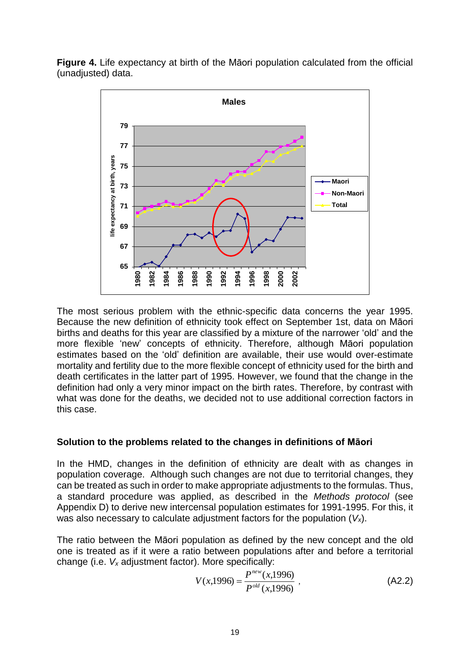**Figure 4.** Life expectancy at birth of the Māori population calculated from the official (unadjusted) data.



The most serious problem with the ethnic-specific data concerns the year 1995. Because the new definition of ethnicity took effect on September 1st, data on Māori births and deaths for this year are classified by a mixture of the narrower 'old' and the more flexible 'new' concepts of ethnicity. Therefore, although Māori population estimates based on the 'old' definition are available, their use would over-estimate mortality and fertility due to the more flexible concept of ethnicity used for the birth and death certificates in the latter part of 1995. However, we found that the change in the definition had only a very minor impact on the birth rates. Therefore, by contrast with what was done for the deaths, we decided not to use additional correction factors in this case.

# **Solution to the problems related to the changes in definitions of Māori**

In the HMD, changes in the definition of ethnicity are dealt with as changes in population coverage. Although such changes are not due to territorial changes, they can be treated as such in order to make appropriate adjustments to the formulas. Thus, a standard procedure was applied, as described in the *Methods protocol* (see Appendix D) to derive new intercensal population estimates for 1991-1995. For this, it was also necessary to calculate adjustment factors for the population (*Vx*).

The ratio between the Māori population as defined by the new concept and the old one is treated as if it were a ratio between populations after and before a territorial change (i.e. *V<sup>x</sup>* adjustment factor). More specifically:

$$
V(x,1996) = \frac{P^{new}(x,1996)}{P^{old}(x,1996)} ,
$$
 (A2.2)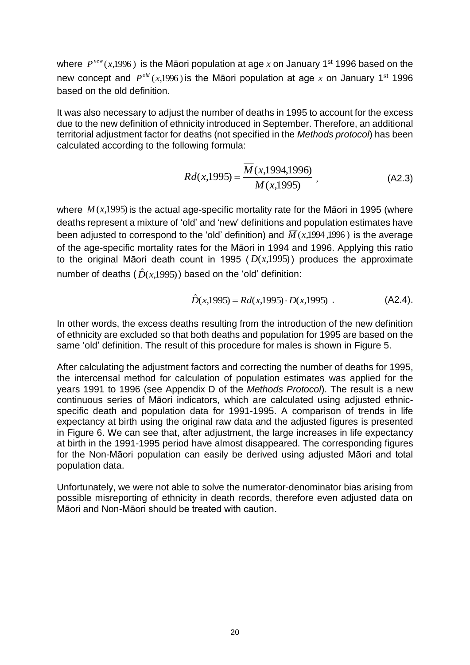where  $P^{new}(x,1996)$  is the Māori population at age x on January 1<sup>st</sup> 1996 based on the new concept and  $P^{old}(x,1996)$  is the Māori population at age x on January 1<sup>st</sup> 1996 based on the old definition.

It was also necessary to adjust the number of deaths in 1995 to account for the excess due to the new definition of ethnicity introduced in September. Therefore, an additional territorial adjustment factor for deaths (not specified in the *Methods protocol*) has been calculated according to the following formula:

$$
Rd(x,1995) = \frac{\overline{M}(x,1994,1996)}{M(x,1995)},
$$
 (A2.3)

where  $M(x,1995)$  is the actual age-specific mortality rate for the Māori in 1995 (where deaths represent a mixture of 'old' and 'new' definitions and population estimates have been adjusted to correspond to the 'old' definition) and  $\overline{M}(x,1994,1996)$  is the average of the age-specific mortality rates for the Māori in 1994 and 1996. Applying this ratio to the original Māori death count in 1995  $(D(x,1995))$  produces the approximate number of deaths  $(\hat{D}(x,1995))$  based on the 'old' definition:

$$
\hat{D}(x,1995) = Rd(x,1995) \cdot D(x,1995) \tag{A2.4}.
$$

In other words, the excess deaths resulting from the introduction of the new definition of ethnicity are excluded so that both deaths and population for 1995 are based on the same 'old' definition. The result of this procedure for males is shown in Figure 5.

After calculating the adjustment factors and correcting the number of deaths for 1995, the intercensal method for calculation of population estimates was applied for the years 1991 to 1996 (see Appendix D of the *Methods Protocol*). The result is a new continuous series of Māori indicators, which are calculated using adjusted ethnicspecific death and population data for 1991-1995. A comparison of trends in life expectancy at birth using the original raw data and the adjusted figures is presented in Figure 6. We can see that, after adjustment, the large increases in life expectancy at birth in the 1991-1995 period have almost disappeared. The corresponding figures for the Non-Māori population can easily be derived using adjusted Māori and total population data.

Unfortunately, we were not able to solve the numerator-denominator bias arising from possible misreporting of ethnicity in death records, therefore even adjusted data on Māori and Non-Māori should be treated with caution.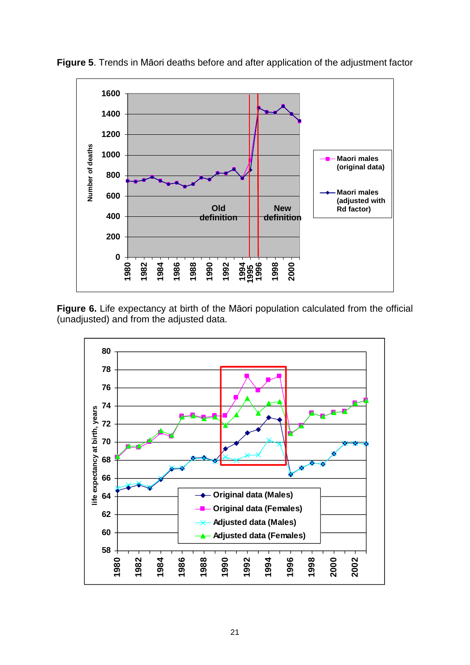

**Figure 5**. Trends in Māori deaths before and after application of the adjustment factor

**Figure 6.** Life expectancy at birth of the Māori population calculated from the official (unadjusted) and from the adjusted data.

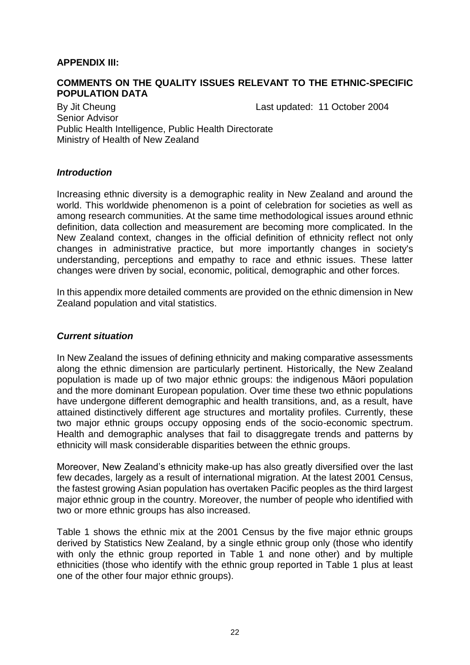## **APPENDIX III:**

### **COMMENTS ON THE QUALITY ISSUES RELEVANT TO THE ETHNIC-SPECIFIC POPULATION DATA**

By Jit Cheung **Last updated: 11 October 2004** Senior Advisor Public Health Intelligence, Public Health Directorate Ministry of Health of New Zealand

### *Introduction*

Increasing ethnic diversity is a demographic reality in New Zealand and around the world. This worldwide phenomenon is a point of celebration for societies as well as among research communities. At the same time methodological issues around ethnic definition, data collection and measurement are becoming more complicated. In the New Zealand context, changes in the official definition of ethnicity reflect not only changes in administrative practice, but more importantly changes in society's understanding, perceptions and empathy to race and ethnic issues. These latter changes were driven by social, economic, political, demographic and other forces.

In this appendix more detailed comments are provided on the ethnic dimension in New Zealand population and vital statistics.

## *Current situation*

In New Zealand the issues of defining ethnicity and making comparative assessments along the ethnic dimension are particularly pertinent. Historically, the New Zealand population is made up of two major ethnic groups: the indigenous Māori population and the more dominant European population. Over time these two ethnic populations have undergone different demographic and health transitions, and, as a result, have attained distinctively different age structures and mortality profiles. Currently, these two major ethnic groups occupy opposing ends of the socio-economic spectrum. Health and demographic analyses that fail to disaggregate trends and patterns by ethnicity will mask considerable disparities between the ethnic groups.

Moreover, New Zealand's ethnicity make-up has also greatly diversified over the last few decades, largely as a result of international migration. At the latest 2001 Census, the fastest growing Asian population has overtaken Pacific peoples as the third largest major ethnic group in the country. Moreover, the number of people who identified with two or more ethnic groups has also increased.

Table 1 shows the ethnic mix at the 2001 Census by the five major ethnic groups derived by Statistics New Zealand, by a single ethnic group only (those who identify with only the ethnic group reported in Table 1 and none other) and by multiple ethnicities (those who identify with the ethnic group reported in Table 1 plus at least one of the other four major ethnic groups).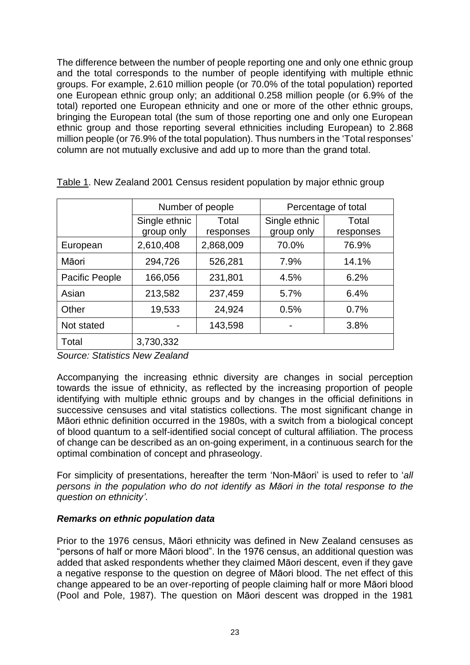The difference between the number of people reporting one and only one ethnic group and the total corresponds to the number of people identifying with multiple ethnic groups. For example, 2.610 million people (or 70.0% of the total population) reported one European ethnic group only; an additional 0.258 million people (or 6.9% of the total) reported one European ethnicity and one or more of the other ethnic groups, bringing the European total (the sum of those reporting one and only one European ethnic group and those reporting several ethnicities including European) to 2.868 million people (or 76.9% of the total population). Thus numbers in the 'Total responses' column are not mutually exclusive and add up to more than the grand total.

|                |                             | Number of people   | Percentage of total         |                    |  |
|----------------|-----------------------------|--------------------|-----------------------------|--------------------|--|
|                | Single ethnic<br>group only | Total<br>responses | Single ethnic<br>group only | Total<br>responses |  |
| European       | 2,610,408                   | 2,868,009          | 70.0%                       | 76.9%              |  |
| Māori          | 294,726                     | 526,281            | 7.9%                        | 14.1%              |  |
| Pacific People | 166,056                     | 231,801            | 4.5%                        | 6.2%               |  |
| Asian          | 213,582                     | 237,459            | 5.7%                        | 6.4%               |  |
| Other          | 19,533                      | 24,924             | 0.5%                        | 0.7%               |  |
| Not stated     |                             | 143,598            |                             | 3.8%               |  |
| Total          | 3,730,332                   |                    |                             |                    |  |

Table 1. New Zealand 2001 Census resident population by major ethnic group

*Source: Statistics New Zealand*

Accompanying the increasing ethnic diversity are changes in social perception towards the issue of ethnicity, as reflected by the increasing proportion of people identifying with multiple ethnic groups and by changes in the official definitions in successive censuses and vital statistics collections. The most significant change in Māori ethnic definition occurred in the 1980s, with a switch from a biological concept of blood quantum to a self-identified social concept of cultural affiliation. The process of change can be described as an on-going experiment, in a continuous search for the optimal combination of concept and phraseology.

For simplicity of presentations, hereafter the term 'Non-Māori' is used to refer to '*all persons in the population who do not identify as Māori in the total response to the question on ethnicity'*.

## *Remarks on ethnic population data*

Prior to the 1976 census, Māori ethnicity was defined in New Zealand censuses as "persons of half or more Māori blood". In the 1976 census, an additional question was added that asked respondents whether they claimed Māori descent, even if they gave a negative response to the question on degree of Māori blood. The net effect of this change appeared to be an over-reporting of people claiming half or more Māori blood (Pool and Pole, 1987). The question on Māori descent was dropped in the 1981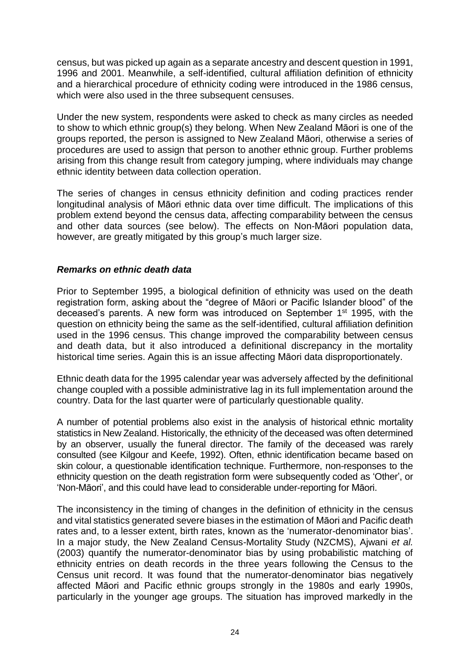census, but was picked up again as a separate ancestry and descent question in 1991, 1996 and 2001. Meanwhile, a self-identified, cultural affiliation definition of ethnicity and a hierarchical procedure of ethnicity coding were introduced in the 1986 census, which were also used in the three subsequent censuses.

Under the new system, respondents were asked to check as many circles as needed to show to which ethnic group(s) they belong. When New Zealand Māori is one of the groups reported, the person is assigned to New Zealand Māori, otherwise a series of procedures are used to assign that person to another ethnic group. Further problems arising from this change result from category jumping, where individuals may change ethnic identity between data collection operation.

The series of changes in census ethnicity definition and coding practices render longitudinal analysis of Māori ethnic data over time difficult. The implications of this problem extend beyond the census data, affecting comparability between the census and other data sources (see below). The effects on Non-Māori population data, however, are greatly mitigated by this group's much larger size.

## *Remarks on ethnic death data*

Prior to September 1995, a biological definition of ethnicity was used on the death registration form, asking about the "degree of Māori or Pacific Islander blood" of the deceased's parents. A new form was introduced on September 1<sup>st</sup> 1995, with the question on ethnicity being the same as the self-identified, cultural affiliation definition used in the 1996 census. This change improved the comparability between census and death data, but it also introduced a definitional discrepancy in the mortality historical time series. Again this is an issue affecting Māori data disproportionately.

Ethnic death data for the 1995 calendar year was adversely affected by the definitional change coupled with a possible administrative lag in its full implementation around the country. Data for the last quarter were of particularly questionable quality.

A number of potential problems also exist in the analysis of historical ethnic mortality statistics in New Zealand. Historically, the ethnicity of the deceased was often determined by an observer, usually the funeral director. The family of the deceased was rarely consulted (see Kilgour and Keefe, 1992). Often, ethnic identification became based on skin colour, a questionable identification technique. Furthermore, non-responses to the ethnicity question on the death registration form were subsequently coded as 'Other', or 'Non-Māori', and this could have lead to considerable under-reporting for Māori.

The inconsistency in the timing of changes in the definition of ethnicity in the census and vital statistics generated severe biases in the estimation of Māori and Pacific death rates and, to a lesser extent, birth rates, known as the 'numerator-denominator bias'. In a major study, the New Zealand Census-Mortality Study (NZCMS), Ajwani *et al.* (2003) quantify the numerator-denominator bias by using probabilistic matching of ethnicity entries on death records in the three years following the Census to the Census unit record. It was found that the numerator-denominator bias negatively affected Māori and Pacific ethnic groups strongly in the 1980s and early 1990s, particularly in the younger age groups. The situation has improved markedly in the